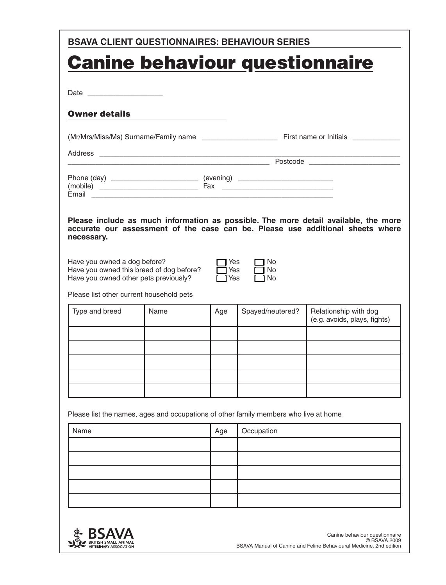| <b>BSAVA CLIENT QUESTIONNAIRES: BEHAVIOUR SERIES</b>                                 |                                                                                                                                                             |     |                  |                                                                                                                                                                       |  |  |
|--------------------------------------------------------------------------------------|-------------------------------------------------------------------------------------------------------------------------------------------------------------|-----|------------------|-----------------------------------------------------------------------------------------------------------------------------------------------------------------------|--|--|
| <b>Canine behaviour questionnaire</b>                                                |                                                                                                                                                             |     |                  |                                                                                                                                                                       |  |  |
|                                                                                      |                                                                                                                                                             |     |                  |                                                                                                                                                                       |  |  |
|                                                                                      |                                                                                                                                                             |     |                  |                                                                                                                                                                       |  |  |
| <b>Owner details</b>                                                                 |                                                                                                                                                             |     |                  |                                                                                                                                                                       |  |  |
|                                                                                      |                                                                                                                                                             |     |                  |                                                                                                                                                                       |  |  |
|                                                                                      |                                                                                                                                                             |     |                  |                                                                                                                                                                       |  |  |
|                                                                                      |                                                                                                                                                             |     |                  | <u>Postcode</u>                                                                                                                                                       |  |  |
| Phone (day) _______________________________ (evening) __________________________     |                                                                                                                                                             |     |                  |                                                                                                                                                                       |  |  |
|                                                                                      |                                                                                                                                                             |     |                  |                                                                                                                                                                       |  |  |
| necessary.                                                                           |                                                                                                                                                             |     |                  | Please include as much information as possible. The more detail available, the more<br>accurate our assessment of the case can be. Please use additional sheets where |  |  |
| Please list other current household pets                                             | Have you owned a dog before?<br>Yes<br>No.<br>Have you owned this breed of dog before?<br>Yes<br>No<br>Have you owned other pets previously?<br>Yes<br>7 No |     |                  |                                                                                                                                                                       |  |  |
| Type and breed                                                                       | Name                                                                                                                                                        | Age | Spayed/neutered? | Relationship with dog<br>(e.g. avoids, plays, fights)                                                                                                                 |  |  |
|                                                                                      |                                                                                                                                                             |     |                  |                                                                                                                                                                       |  |  |
|                                                                                      |                                                                                                                                                             |     |                  |                                                                                                                                                                       |  |  |
|                                                                                      |                                                                                                                                                             |     |                  |                                                                                                                                                                       |  |  |
|                                                                                      |                                                                                                                                                             |     |                  |                                                                                                                                                                       |  |  |
| Please list the names, ages and occupations of other family members who live at home |                                                                                                                                                             |     |                  |                                                                                                                                                                       |  |  |
| Name                                                                                 |                                                                                                                                                             | Age | Occupation       |                                                                                                                                                                       |  |  |
|                                                                                      |                                                                                                                                                             |     |                  |                                                                                                                                                                       |  |  |
|                                                                                      |                                                                                                                                                             |     |                  |                                                                                                                                                                       |  |  |
|                                                                                      |                                                                                                                                                             |     |                  |                                                                                                                                                                       |  |  |
|                                                                                      |                                                                                                                                                             |     |                  |                                                                                                                                                                       |  |  |
|                                                                                      |                                                                                                                                                             |     |                  |                                                                                                                                                                       |  |  |

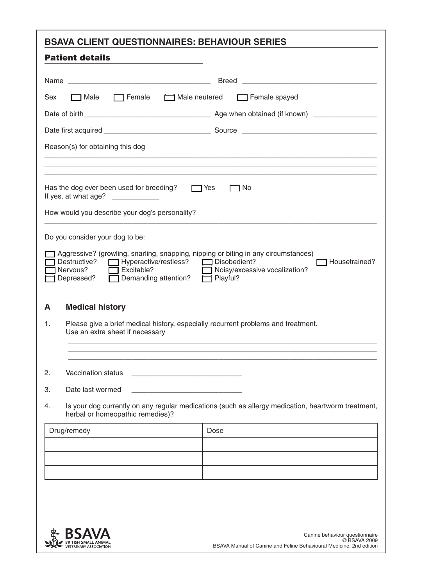| <b>BSAVA CLIENT QUESTIONNAIRES: BEHAVIOUR SERIES</b>                                                                                                                                                                                                                                                |                    |  |  |  |  |
|-----------------------------------------------------------------------------------------------------------------------------------------------------------------------------------------------------------------------------------------------------------------------------------------------------|--------------------|--|--|--|--|
| <b>Patient details</b>                                                                                                                                                                                                                                                                              |                    |  |  |  |  |
|                                                                                                                                                                                                                                                                                                     | Breed              |  |  |  |  |
| $\Box$ Female<br>Male neutered<br>Sex<br>$\lnot$ Male                                                                                                                                                                                                                                               | Female spayed      |  |  |  |  |
|                                                                                                                                                                                                                                                                                                     |                    |  |  |  |  |
|                                                                                                                                                                                                                                                                                                     |                    |  |  |  |  |
| Reason(s) for obtaining this dog                                                                                                                                                                                                                                                                    |                    |  |  |  |  |
|                                                                                                                                                                                                                                                                                                     |                    |  |  |  |  |
| Has the dog ever been used for breeding?<br>If yes, at what age? ____________<br>How would you describe your dog's personality?                                                                                                                                                                     | $\Box$ Yes<br>∩ No |  |  |  |  |
| Do you consider your dog to be:<br>Aggressive? (growling, snarling, snapping, nipping or biting in any circumstances)<br>Destructive? Hyperactive/restless? Disobedient?<br>Housetrained?<br>Nervous?<br>Excitable?<br>Noisy/excessive vocalization?<br>Depressed?<br>Demanding attention? Playful? |                    |  |  |  |  |
| <b>Medical history</b><br>A                                                                                                                                                                                                                                                                         |                    |  |  |  |  |
| Please give a brief medical history, especially recurrent problems and treatment.<br>1.<br>Use an extra sheet if necessary                                                                                                                                                                          |                    |  |  |  |  |
|                                                                                                                                                                                                                                                                                                     |                    |  |  |  |  |
| Vaccination status<br>2.                                                                                                                                                                                                                                                                            |                    |  |  |  |  |
| 3.<br>Date last wormed                                                                                                                                                                                                                                                                              |                    |  |  |  |  |
| Is your dog currently on any regular medications (such as allergy medication, heartworm treatment,<br>4.<br>herbal or homeopathic remedies)?                                                                                                                                                        |                    |  |  |  |  |
| Drug/remedy                                                                                                                                                                                                                                                                                         | Dose               |  |  |  |  |
|                                                                                                                                                                                                                                                                                                     |                    |  |  |  |  |
|                                                                                                                                                                                                                                                                                                     |                    |  |  |  |  |
|                                                                                                                                                                                                                                                                                                     |                    |  |  |  |  |
|                                                                                                                                                                                                                                                                                                     |                    |  |  |  |  |
|                                                                                                                                                                                                                                                                                                     |                    |  |  |  |  |

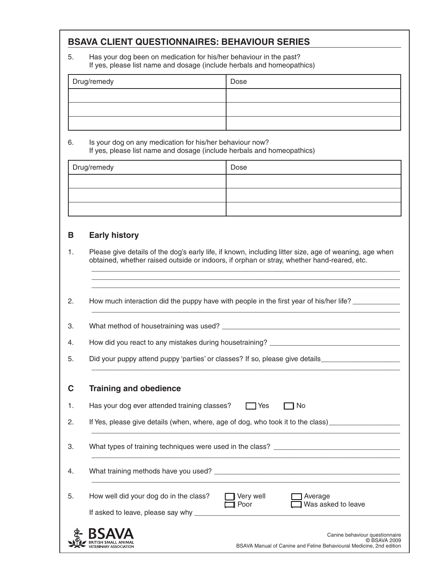# **BSAVA CLIENT QUESTIONNAIRES: BEHAVIOUR SERIES**

5. Has your dog been on medication for his/her behaviour in the past? If yes, please list name and dosage (include herbals and homeopathics)

| Drug/remedy | Dose |
|-------------|------|
|             |      |
|             |      |
|             |      |

#### 6. Is your dog on any medication for his/her behaviour now? If yes, please list name and dosage (include herbals and homeopathics)

| Drug/remedy | Dose |
|-------------|------|
|             |      |
|             |      |
|             |      |

## **B Early history**

1. Please give details of the dog's early life, if known, including litter size, age of weaning, age when obtained, whether raised outside or indoors, if orphan or stray, whether hand-reared, etc.

\_\_\_\_\_\_\_\_\_\_\_\_\_\_\_\_\_\_\_\_\_\_\_\_\_\_\_\_\_\_\_\_\_\_\_\_\_\_\_\_\_\_\_\_\_\_\_\_\_\_\_\_\_\_\_\_\_\_\_\_\_\_\_\_\_\_\_\_\_\_\_\_\_\_\_\_\_\_ \_\_\_\_\_\_\_\_\_\_\_\_\_\_\_\_\_\_\_\_\_\_\_\_\_\_\_\_\_\_\_\_\_\_\_\_\_\_\_\_\_\_\_\_\_\_\_\_\_\_\_\_\_\_\_\_\_\_\_\_\_\_\_\_\_\_\_\_\_\_\_\_\_\_\_\_\_\_ \_\_\_\_\_\_\_\_\_\_\_\_\_\_\_\_\_\_\_\_\_\_\_\_\_\_\_\_\_\_\_\_\_\_\_\_\_\_\_\_\_\_\_\_\_\_\_\_\_\_\_\_\_\_\_\_\_\_\_\_\_\_\_\_\_\_\_\_\_\_\_\_\_\_\_\_\_\_

\_\_\_\_\_\_\_\_\_\_\_\_\_\_\_\_\_\_\_\_\_\_\_\_\_\_\_\_\_\_\_\_\_\_\_\_\_\_\_\_\_\_\_\_\_\_\_\_\_\_\_\_\_\_\_\_\_\_\_\_\_\_\_\_\_\_\_\_\_\_\_\_\_\_\_\_\_\_

\_\_\_\_\_\_\_\_\_\_\_\_\_\_\_\_\_\_\_\_\_\_\_\_\_\_\_\_\_\_\_\_\_\_\_\_\_\_\_\_\_\_\_\_\_\_\_\_\_\_\_\_\_\_\_\_\_\_\_\_\_\_\_\_\_\_\_\_\_\_\_\_\_\_\_\_\_\_

2. How much interaction did the puppy have with people in the first year of his/her life?

3. What method of housetraining was used? \_\_\_\_\_\_\_\_\_\_\_\_\_\_\_\_\_\_\_\_\_\_\_\_\_\_\_\_\_\_\_\_\_\_\_\_\_\_\_\_\_\_\_\_\_

4. How did you react to any mistakes during housetraining?

5. Did your puppy attend puppy 'parties' or classes? If so, please give details\_\_\_\_\_\_

### **C Training and obedience**

BRITISH SMALL ANIMAL<br>VETERINARY ASSOCIATION

1. Has your dog ever attended training classes? TWES FINO

2. If Yes, please give details (when, where, age of dog, who took it to the class) \_\_\_\_\_\_\_\_\_\_\_\_\_\_\_\_\_\_\_\_\_\_\_\_\_\_\_\_\_\_\_\_\_\_\_\_\_\_\_\_\_\_\_\_\_\_\_\_\_\_\_\_\_\_\_\_\_\_\_\_\_\_\_\_\_\_\_\_\_\_\_\_\_\_\_\_\_\_

3. What types of training techniques were used in the class? \_\_\_\_\_\_\_\_\_\_\_\_\_\_\_\_\_\_\_\_\_\_\_\_\_\_\_\_\_\_\_\_\_\_\_\_\_\_\_\_\_\_\_\_\_\_\_\_\_\_\_\_\_\_\_\_\_\_\_\_\_\_\_\_\_\_\_\_\_\_\_\_\_\_\_\_\_\_

4. What training methods have you used? \_\_\_\_\_\_\_\_\_\_\_\_\_\_\_\_\_\_\_\_\_\_\_\_\_\_\_\_\_\_\_\_\_\_\_\_\_\_\_\_\_\_\_\_\_\_\_ \_\_\_\_\_\_\_\_\_\_\_\_\_\_\_\_\_\_\_\_\_\_\_\_\_\_\_\_\_\_\_\_\_\_\_\_\_\_\_\_\_\_\_\_\_\_\_\_\_\_\_\_\_\_\_\_\_\_\_\_\_\_\_\_\_\_\_\_\_\_\_\_\_\_\_\_\_\_

| How well did your dog do in the class? | □ Very well<br>$\Box$ Poor | <b>□ Average</b><br>$\Box$ Was asked to leave |  |
|----------------------------------------|----------------------------|-----------------------------------------------|--|
| If asked to leave, please say why      |                            |                                               |  |
|                                        |                            |                                               |  |

Canine behaviour questionnaire © BSAVA 2009 BSAVA Manual of Canine and Feline Behavioural Medicine, 2nd edition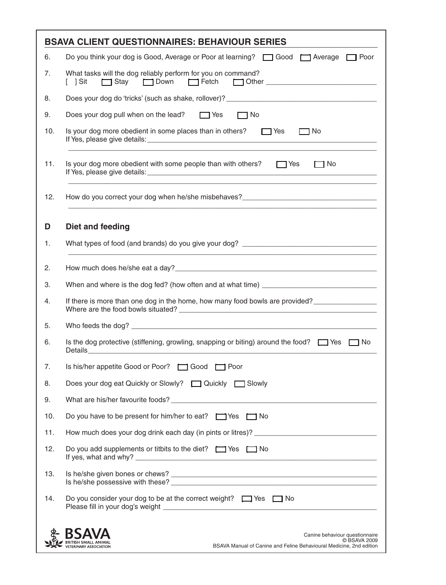|     | <b>BSAVA CLIENT QUESTIONNAIRES: BEHAVIOUR SERIES</b>                                                                                                         |
|-----|--------------------------------------------------------------------------------------------------------------------------------------------------------------|
| 6.  | Do you think your dog is Good, Average or Poor at learning? □ Good □ Average □ Poor                                                                          |
| 7.  | What tasks will the dog reliably perform for you on command?<br>Stay Down Fetch Other ______________________<br>$\lceil \quad \rceil$ Sit                    |
| 8.  |                                                                                                                                                              |
| 9.  | Does your dog pull when on the lead?<br>These<br>$\Box$ No                                                                                                   |
| 10. | Is your dog more obedient in some places than in others? $\Box$ Yes<br>$\Box$ No                                                                             |
| 11. | Is your dog more obedient with some people than with others? $\Box$ Yes<br>$\Box$ No                                                                         |
| 12. | How do you correct your dog when he/she misbehaves?_____________________________                                                                             |
| D   | Diet and feeding                                                                                                                                             |
| 1.  |                                                                                                                                                              |
| 2.  |                                                                                                                                                              |
| 3.  |                                                                                                                                                              |
| 4.  | If there is more than one dog in the home, how many food bowls are provided?                                                                                 |
| 5.  |                                                                                                                                                              |
| 6.  | Is the dog protective (stiffening, growling, snapping or biting) around the food? $\Box$ Yes $\Box$ No                                                       |
| 7.  | Is his/her appetite Good or Poor? [ Good   Poor                                                                                                              |
| 8.  | Does your dog eat Quickly or Slowly?<br><u> Ouickly</u> and Slowly                                                                                           |
| 9.  |                                                                                                                                                              |
| 10. | Do you have to be present for him/her to eat? Wes I No                                                                                                       |
| 11. |                                                                                                                                                              |
| 12. | Do you add supplements or titbits to the diet? $\Box$ Yes $\Box$ No                                                                                          |
| 13. |                                                                                                                                                              |
| 14. | Do you consider your dog to be at the correct weight? $\Box$ Yes $\Box$ No                                                                                   |
|     | RSA<br>Canine behaviour questionnaire<br>C BSAVA 2009<br>BSAVA Manual of Canine and Feline Behavioural Medicine, 2nd edition<br><b>ETERINARY ASSOCIATION</b> |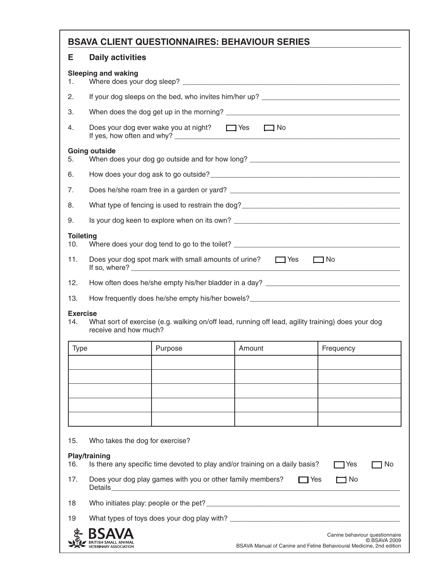## **BSAVA CLIENT QUESTIONNAIRES: BEHAVIOUR SERIES**

## **E Daily activities**

| Where does your dog sleep?                             |
|--------------------------------------------------------|
| If your dog sleeps on the bed, who invites him/her up? |
| When does the dog get up in the morning?               |
|                                                        |

| Does your dog ever wake you at night? Does your dog ever wake you at night? | l No |  |
|-----------------------------------------------------------------------------|------|--|
| If yes, how often and why?                                                  |      |  |

| 5.               | Going outside<br>When does your dog go outside and for how long?                        |
|------------------|-----------------------------------------------------------------------------------------|
| 6.               |                                                                                         |
| 7.               |                                                                                         |
| 8.               | What type of fencing is used to restrain the dog?                                       |
| 9.               | Is your dog keen to explore when on its own?                                            |
| <b>Toileting</b> | 10. Where does your dog tend to go to the toilet? ______________________________        |
| 11.              | Does your dog spot mark with small amounts of urine? $\Box$ Yes<br>No.<br>If so, where? |

12. How often does he/she empty his/her bladder in a day? \_\_\_\_\_\_\_\_\_\_\_\_\_\_\_\_\_\_\_\_\_\_\_\_\_\_\_\_\_\_\_\_\_\_

13. How frequently does he/she empty his/her bowels?\_\_\_\_\_\_\_\_\_\_\_\_\_\_\_\_\_\_\_\_\_\_\_\_\_\_\_\_

#### **Exercise**

14. What sort of exercise (e.g. walking on/off lead, running off lead, agility training) does your dog receive and how much?

| Type | Purpose | Amount | Frequency |
|------|---------|--------|-----------|
|      |         |        |           |
|      |         |        |           |
|      |         |        |           |
|      |         |        |           |
|      |         |        |           |

15. Who takes the dog for exercise?

#### **Play/training**

| 16. | Play/training<br>Is there any specific time devoted to play and/or training on a daily basis? |                                                                     |      | T Yes                          | 1 No         |
|-----|-----------------------------------------------------------------------------------------------|---------------------------------------------------------------------|------|--------------------------------|--------------|
| 17. | Does your dog play games with you or other family members?<br>Details                         |                                                                     | □Yes | ー No                           |              |
| 18  | Who initiates play: people or the pet?                                                        |                                                                     |      |                                |              |
| 19  | What types of toys does your dog play with?                                                   |                                                                     |      |                                |              |
|     | <b>BSAVA</b><br><b>VETERINARY ASSOCIATION</b>                                                 | BSAVA Manual of Canine and Feline Behavioural Medicine, 2nd edition |      | Canine behaviour questionnaire | © BSAVA 2009 |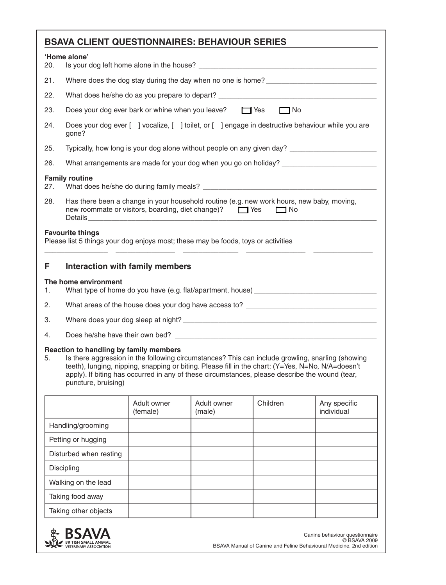|                                                                                                                                                                                                                                                                                                                                                                                | <b>BSAVA CLIENT QUESTIONNAIRES: BEHAVIOUR SERIES</b>                                                                                                                 |                         |                       |           |                            |
|--------------------------------------------------------------------------------------------------------------------------------------------------------------------------------------------------------------------------------------------------------------------------------------------------------------------------------------------------------------------------------|----------------------------------------------------------------------------------------------------------------------------------------------------------------------|-------------------------|-----------------------|-----------|----------------------------|
| 20.                                                                                                                                                                                                                                                                                                                                                                            | 'Home alone'                                                                                                                                                         |                         |                       |           |                            |
| 21.                                                                                                                                                                                                                                                                                                                                                                            | Where does the dog stay during the day when no one is home?                                                                                                          |                         |                       |           |                            |
| 22.                                                                                                                                                                                                                                                                                                                                                                            | What does he/she do as you prepare to depart? ___________________________________                                                                                    |                         |                       |           |                            |
| 23.                                                                                                                                                                                                                                                                                                                                                                            | Does your dog ever bark or whine when you leave?<br>T Yes                                                                                                            |                         |                       | $\Box$ No |                            |
| 24.                                                                                                                                                                                                                                                                                                                                                                            | Does your dog ever [ ] vocalize, [ ] toilet, or [ ] engage in destructive behaviour while you are<br>gone?                                                           |                         |                       |           |                            |
| 25.                                                                                                                                                                                                                                                                                                                                                                            | Typically, how long is your dog alone without people on any given day? ____________________________                                                                  |                         |                       |           |                            |
| 26.                                                                                                                                                                                                                                                                                                                                                                            |                                                                                                                                                                      |                         |                       |           |                            |
| 27.                                                                                                                                                                                                                                                                                                                                                                            | <b>Family routine</b>                                                                                                                                                |                         |                       |           |                            |
| 28.                                                                                                                                                                                                                                                                                                                                                                            | Has there been a change in your household routine (e.g. new work hours, new baby, moving,<br>new roommate or visitors, boarding, diet change)?<br>These<br>$\Box$ No |                         |                       |           |                            |
|                                                                                                                                                                                                                                                                                                                                                                                | <b>Favourite things</b><br>Please list 5 things your dog enjoys most; these may be foods, toys or activities                                                         |                         |                       |           |                            |
| F                                                                                                                                                                                                                                                                                                                                                                              | Interaction with family members                                                                                                                                      |                         |                       |           |                            |
| 1.                                                                                                                                                                                                                                                                                                                                                                             | The home environment                                                                                                                                                 |                         |                       |           |                            |
| 2.                                                                                                                                                                                                                                                                                                                                                                             | What areas of the house does your dog have access to? ___________________________                                                                                    |                         |                       |           |                            |
| 3.                                                                                                                                                                                                                                                                                                                                                                             |                                                                                                                                                                      |                         |                       |           |                            |
| 4.                                                                                                                                                                                                                                                                                                                                                                             |                                                                                                                                                                      |                         |                       |           |                            |
| Reaction to handling by family members<br>Is there aggression in the following circumstances? This can include growling, snarling (showing<br>5.<br>teeth), lunging, nipping, snapping or biting. Please fill in the chart: (Y=Yes, N=No, N/A=doesn't<br>apply). If biting has occurred in any of these circumstances, please describe the wound (tear,<br>puncture, bruising) |                                                                                                                                                                      |                         |                       |           |                            |
|                                                                                                                                                                                                                                                                                                                                                                                |                                                                                                                                                                      | Adult owner<br>(female) | Adult owner<br>(male) | Children  | Any specific<br>individual |
|                                                                                                                                                                                                                                                                                                                                                                                | Handling/grooming                                                                                                                                                    |                         |                       |           |                            |
| Petting or hugging                                                                                                                                                                                                                                                                                                                                                             |                                                                                                                                                                      |                         |                       |           |                            |
| Disturbed when resting                                                                                                                                                                                                                                                                                                                                                         |                                                                                                                                                                      |                         |                       |           |                            |
| Discipling                                                                                                                                                                                                                                                                                                                                                                     |                                                                                                                                                                      |                         |                       |           |                            |
|                                                                                                                                                                                                                                                                                                                                                                                | Walking on the lead                                                                                                                                                  |                         |                       |           |                            |
|                                                                                                                                                                                                                                                                                                                                                                                | Taking food away                                                                                                                                                     |                         |                       |           |                            |
|                                                                                                                                                                                                                                                                                                                                                                                | Taking other objects                                                                                                                                                 |                         |                       |           |                            |

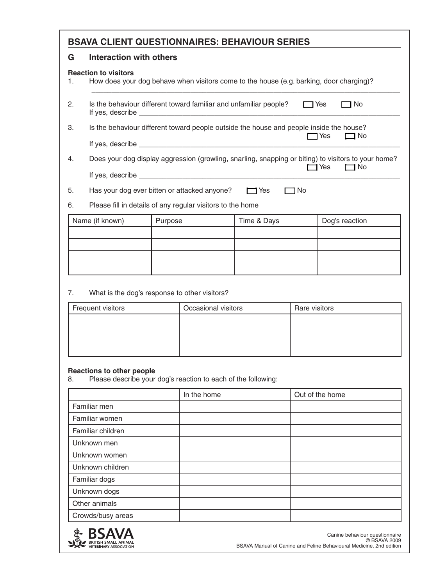# **BSAVA CLIENT QUESTIONNAIRES: BEHAVIOUR SERIES**

#### **G Interaction with others**

#### **Reaction to visitors**

- 1. How does your dog behave when visitors come to the house (e.g. barking, door charging)?
- 2. Is the behaviour different toward familiar and unfamiliar people?  $\Box$  Yes  $\Box$  No If yes, describe  $\_{\_}$

\_\_\_\_\_\_\_\_\_\_\_\_\_\_\_\_\_\_\_\_\_\_\_\_\_\_\_\_\_\_\_\_\_\_\_\_\_\_\_\_\_\_\_\_\_\_\_\_\_\_\_\_\_\_\_\_\_\_\_\_\_\_\_\_\_\_\_\_\_\_\_\_\_\_\_\_\_\_

3. Is the behaviour different toward people outside the house and people inside the house?  $\Box$  Yes  $\Box$  No If yes, describe  $\qquad \qquad \qquad$ 

4. Does your dog display aggression (growling, snarling, snapping or biting) to visitors to your home?  $\Box$  Yes  $\Box$  No If yes, describe  $\frac{1}{2}$ 

5. Has your dog ever bitten or attacked anyone? **[3]** Yes **[3]** No

#### 6. Please fill in details of any regular visitors to the home

| Name (if known) | Purpose | Time & Days | Dog's reaction |
|-----------------|---------|-------------|----------------|
|                 |         |             |                |
|                 |         |             |                |
|                 |         |             |                |
|                 |         |             |                |

#### 7. What is the dog's response to other visitors?

| Frequent visitors | Occasional visitors | Rare visitors |
|-------------------|---------------------|---------------|
|                   |                     |               |
|                   |                     |               |
|                   |                     |               |
|                   |                     |               |

# **Reactions to other people**<br>8. Please describe your

Please describe your dog's reaction to each of the following:

|                   | In the home | Out of the home |
|-------------------|-------------|-----------------|
| Familiar men      |             |                 |
| Familiar women    |             |                 |
| Familiar children |             |                 |
| Unknown men       |             |                 |
| Unknown women     |             |                 |
| Unknown children  |             |                 |
| Familiar dogs     |             |                 |
| Unknown dogs      |             |                 |
| Other animals     |             |                 |
| Crowds/busy areas |             |                 |

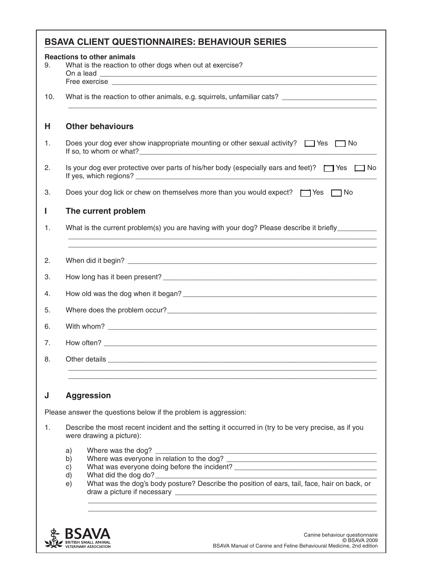|     | <b>BSAVA CLIENT QUESTIONNAIRES: BEHAVIOUR SERIES</b>                                                                                                                                                                             |  |  |  |  |
|-----|----------------------------------------------------------------------------------------------------------------------------------------------------------------------------------------------------------------------------------|--|--|--|--|
| 9.  | <b>Reactions to other animals</b><br>What is the reaction to other dogs when out at exercise?                                                                                                                                    |  |  |  |  |
| 10. | What is the reaction to other animals, e.g. squirrels, unfamiliar cats? ____________________________                                                                                                                             |  |  |  |  |
| н   | <b>Other behaviours</b>                                                                                                                                                                                                          |  |  |  |  |
| 1.  | Does your dog ever show inappropriate mounting or other sexual activity? $\Box$ Yes $\Box$ No                                                                                                                                    |  |  |  |  |
| 2.  | Is your dog ever protective over parts of his/her body (especially ears and feet)? $\Box$ Yes $\Box$ No                                                                                                                          |  |  |  |  |
| 3.  | Does your dog lick or chew on themselves more than you would expect? $\Box$ Yes $\Box$ No                                                                                                                                        |  |  |  |  |
| Ш   | The current problem                                                                                                                                                                                                              |  |  |  |  |
| 1.  | What is the current problem(s) you are having with your dog? Please describe it briefly_________                                                                                                                                 |  |  |  |  |
| 2.  |                                                                                                                                                                                                                                  |  |  |  |  |
| 3.  |                                                                                                                                                                                                                                  |  |  |  |  |
| 4.  |                                                                                                                                                                                                                                  |  |  |  |  |
| 5.  | Where does the problem occur?<br>The second contract of the second contract of the second contract of the second contract of the second contract of the second contract of the second contract of the second contract of the sec |  |  |  |  |
| 6.  |                                                                                                                                                                                                                                  |  |  |  |  |
| 7.  |                                                                                                                                                                                                                                  |  |  |  |  |
| 8.  |                                                                                                                                                                                                                                  |  |  |  |  |
|     |                                                                                                                                                                                                                                  |  |  |  |  |
|     | <b>Aggression</b><br>J                                                                                                                                                                                                           |  |  |  |  |
|     | Please answer the questions below if the problem is aggression:<br>Describe the most recent incident and the setting it occurred in (try to be very precise, as if you                                                           |  |  |  |  |
| 1.  | were drawing a picture):                                                                                                                                                                                                         |  |  |  |  |
|     | Where was the dog? __________<br>a)<br>b)<br>What was everyone doing before the incident? ___________________________________<br>c)<br>What did the dog do?__<br>d)<br>e)                                                        |  |  |  |  |

draw a picture if necessary \_  $\mathcal{L}_\text{max} = \frac{1}{2} \sum_{i=1}^{n} \frac{1}{2} \sum_{i=1}^{n} \frac{1}{2} \sum_{i=1}^{n} \frac{1}{2} \sum_{i=1}^{n} \frac{1}{2} \sum_{i=1}^{n} \frac{1}{2} \sum_{i=1}^{n} \frac{1}{2} \sum_{i=1}^{n} \frac{1}{2} \sum_{i=1}^{n} \frac{1}{2} \sum_{i=1}^{n} \frac{1}{2} \sum_{i=1}^{n} \frac{1}{2} \sum_{i=1}^{n} \frac{1}{2} \sum_{i=1}^{n} \frac{1$ 

 $\frac{1}{2}$  ,  $\frac{1}{2}$  ,  $\frac{1}{2}$  ,  $\frac{1}{2}$  ,  $\frac{1}{2}$  ,  $\frac{1}{2}$  ,  $\frac{1}{2}$  ,  $\frac{1}{2}$  ,  $\frac{1}{2}$  ,  $\frac{1}{2}$  ,  $\frac{1}{2}$  ,  $\frac{1}{2}$  ,  $\frac{1}{2}$  ,  $\frac{1}{2}$  ,  $\frac{1}{2}$  ,  $\frac{1}{2}$  ,  $\frac{1}{2}$  ,  $\frac{1}{2}$  ,  $\frac{1$ 

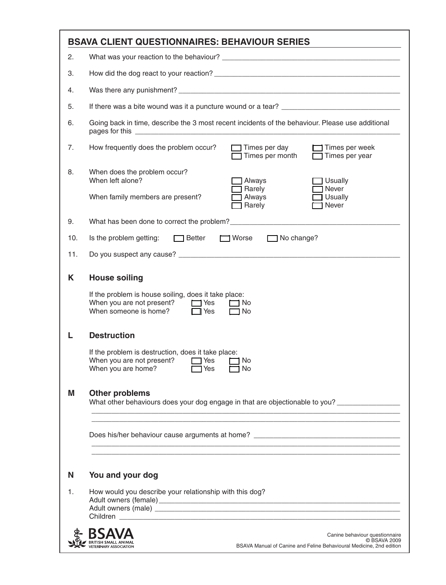|                           | <b>BSAVA CLIENT QUESTIONNAIRES: BEHAVIOUR SERIES</b>                                                                                                                          |  |  |  |
|---------------------------|-------------------------------------------------------------------------------------------------------------------------------------------------------------------------------|--|--|--|
| 2.                        |                                                                                                                                                                               |  |  |  |
| 3.                        |                                                                                                                                                                               |  |  |  |
| 4.                        |                                                                                                                                                                               |  |  |  |
| 5.                        |                                                                                                                                                                               |  |  |  |
| 6.                        | Going back in time, describe the 3 most recent incidents of the behaviour. Please use additional                                                                              |  |  |  |
| 7.                        | How frequently does the problem occur?<br>$\Box$ Times per day<br>$\Box$ Times per week<br>$\Box$ Times per month<br>$\Box$ Times per year                                    |  |  |  |
| 8.                        | When does the problem occur?<br>When left alone?<br>Always<br><b>Usually</b>                                                                                                  |  |  |  |
|                           | Never<br>$\Box$ Rarely<br>When family members are present?<br>Always<br><b>Usually</b><br>Never<br>$\Box$ Rarely                                                              |  |  |  |
| 9.                        | What has been done to correct the problem?<br><u> What has been done to correct the problem?</u>                                                                              |  |  |  |
| 10.                       | Is the problem getting: Setter Superior Worse Superior No change?                                                                                                             |  |  |  |
| 11.                       |                                                                                                                                                                               |  |  |  |
| <b>House soiling</b><br>K |                                                                                                                                                                               |  |  |  |
|                           | If the problem is house soiling, does it take place:<br>When you are not present? $\Box$ Yes<br>l No<br>When someone is home?<br>$\Box$ Yes<br>No                             |  |  |  |
| L                         | <b>Destruction</b>                                                                                                                                                            |  |  |  |
|                           | If the problem is destruction, does it take place:<br>When you are not present?<br>$\Box$ Yes<br>$\Box$ No<br>When you are home? $\Box$ Yes $\Box$ No                         |  |  |  |
| М                         | <b>Other problems</b><br>What other behaviours does your dog engage in that are objectionable to you?                                                                         |  |  |  |
|                           | <u> 1989 - Johann Harry Harry Harry Harry Harry Harry Harry Harry Harry Harry Harry Harry Harry Harry Harry Harry</u>                                                         |  |  |  |
| N                         | You and your dog                                                                                                                                                              |  |  |  |
| 1.                        | How would you describe your relationship with this dog?                                                                                                                       |  |  |  |
|                           | Canine behaviour questionnaire<br>C BSAVA 2009<br><b>RITISH SMALL ANIMAL</b><br>BSAVA Manual of Canine and Feline Behavioural Medicine, 2nd edition<br>/ETERINARY ASSOCIATION |  |  |  |